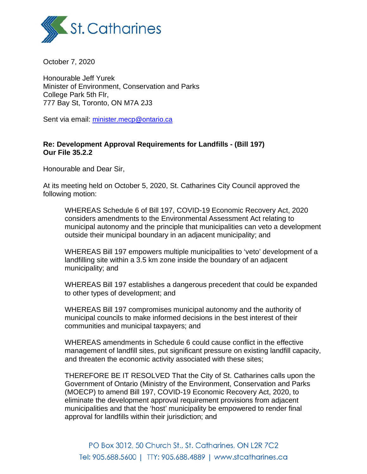

October 7, 2020

Honourable Jeff Yurek Minister of Environment, Conservation and Parks College Park 5th Flr, 777 Bay St, Toronto, ON M7A 2J3

Sent via email: [minister.mecp@ontario.ca](mailto:%20minister.mecp@ontario.ca)

## **Re: Development Approval Requirements for Landfills - (Bill 197) Our File 35.2.2**

Honourable and Dear Sir,

At its meeting held on October 5, 2020, St. Catharines City Council approved the following motion:

WHEREAS Schedule 6 of Bill 197, COVID-19 Economic Recovery Act, 2020 considers amendments to the Environmental Assessment Act relating to municipal autonomy and the principle that municipalities can veto a development outside their municipal boundary in an adjacent municipality; and

WHEREAS Bill 197 empowers multiple municipalities to 'veto' development of a landfilling site within a 3.5 km zone inside the boundary of an adjacent municipality; and

WHEREAS Bill 197 establishes a dangerous precedent that could be expanded to other types of development; and

WHEREAS Bill 197 compromises municipal autonomy and the authority of municipal councils to make informed decisions in the best interest of their communities and municipal taxpayers; and

WHEREAS amendments in Schedule 6 could cause conflict in the effective management of landfill sites, put significant pressure on existing landfill capacity, and threaten the economic activity associated with these sites;

THEREFORE BE IT RESOLVED That the City of St. Catharines calls upon the Government of Ontario (Ministry of the Environment, Conservation and Parks (MOECP) to amend Bill 197, COVID-19 Economic Recovery Act, 2020, to eliminate the development approval requirement provisions from adjacent municipalities and that the 'host' municipality be empowered to render final approval for landfills within their jurisdiction; and